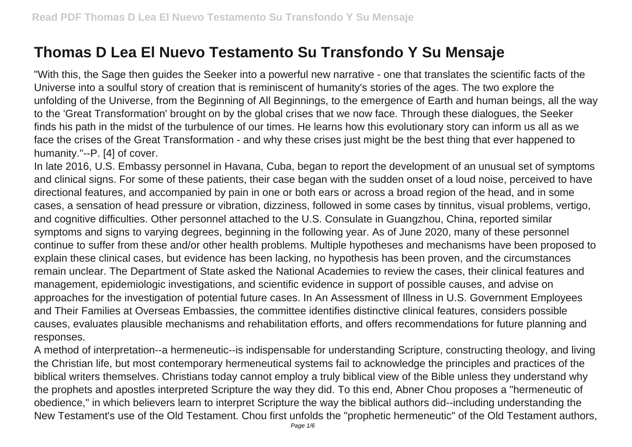## **Thomas D Lea El Nuevo Testamento Su Transfondo Y Su Mensaje**

"With this, the Sage then guides the Seeker into a powerful new narrative - one that translates the scientific facts of the Universe into a soulful story of creation that is reminiscent of humanity's stories of the ages. The two explore the unfolding of the Universe, from the Beginning of All Beginnings, to the emergence of Earth and human beings, all the way to the 'Great Transformation' brought on by the global crises that we now face. Through these dialogues, the Seeker finds his path in the midst of the turbulence of our times. He learns how this evolutionary story can inform us all as we face the crises of the Great Transformation - and why these crises just might be the best thing that ever happened to humanity."--P. [4] of cover.

In late 2016, U.S. Embassy personnel in Havana, Cuba, began to report the development of an unusual set of symptoms and clinical signs. For some of these patients, their case began with the sudden onset of a loud noise, perceived to have directional features, and accompanied by pain in one or both ears or across a broad region of the head, and in some cases, a sensation of head pressure or vibration, dizziness, followed in some cases by tinnitus, visual problems, vertigo, and cognitive difficulties. Other personnel attached to the U.S. Consulate in Guangzhou, China, reported similar symptoms and signs to varying degrees, beginning in the following year. As of June 2020, many of these personnel continue to suffer from these and/or other health problems. Multiple hypotheses and mechanisms have been proposed to explain these clinical cases, but evidence has been lacking, no hypothesis has been proven, and the circumstances remain unclear. The Department of State asked the National Academies to review the cases, their clinical features and management, epidemiologic investigations, and scientific evidence in support of possible causes, and advise on approaches for the investigation of potential future cases. In An Assessment of Illness in U.S. Government Employees and Their Families at Overseas Embassies, the committee identifies distinctive clinical features, considers possible causes, evaluates plausible mechanisms and rehabilitation efforts, and offers recommendations for future planning and responses.

A method of interpretation--a hermeneutic--is indispensable for understanding Scripture, constructing theology, and living the Christian life, but most contemporary hermeneutical systems fail to acknowledge the principles and practices of the biblical writers themselves. Christians today cannot employ a truly biblical view of the Bible unless they understand why the prophets and apostles interpreted Scripture the way they did. To this end, Abner Chou proposes a "hermeneutic of obedience," in which believers learn to interpret Scripture the way the biblical authors did--including understanding the New Testament's use of the Old Testament. Chou first unfolds the "prophetic hermeneutic" of the Old Testament authors,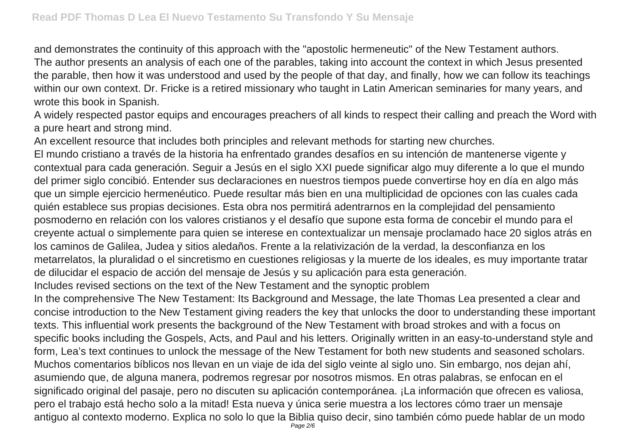and demonstrates the continuity of this approach with the "apostolic hermeneutic" of the New Testament authors. The author presents an analysis of each one of the parables, taking into account the context in which Jesus presented the parable, then how it was understood and used by the people of that day, and finally, how we can follow its teachings within our own context. Dr. Fricke is a retired missionary who taught in Latin American seminaries for many years, and wrote this book in Spanish.

A widely respected pastor equips and encourages preachers of all kinds to respect their calling and preach the Word with a pure heart and strong mind.

An excellent resource that includes both principles and relevant methods for starting new churches.

El mundo cristiano a través de la historia ha enfrentado grandes desafíos en su intención de mantenerse vigente y contextual para cada generación. Seguir a Jesús en el siglo XXI puede significar algo muy diferente a lo que el mundo del primer siglo concibió. Entender sus declaraciones en nuestros tiempos puede convertirse hoy en día en algo más que un simple ejercicio hermenéutico. Puede resultar más bien en una multiplicidad de opciones con las cuales cada quién establece sus propias decisiones. Esta obra nos permitirá adentrarnos en la complejidad del pensamiento posmoderno en relación con los valores cristianos y el desafío que supone esta forma de concebir el mundo para el creyente actual o simplemente para quien se interese en contextualizar un mensaje proclamado hace 20 siglos atrás en los caminos de Galilea, Judea y sitios aledaños. Frente a la relativización de la verdad, la desconfianza en los metarrelatos, la pluralidad o el sincretismo en cuestiones religiosas y la muerte de los ideales, es muy importante tratar de dilucidar el espacio de acción del mensaje de Jesús y su aplicación para esta generación.

Includes revised sections on the text of the New Testament and the synoptic problem

In the comprehensive The New Testament: Its Background and Message, the late Thomas Lea presented a clear and concise introduction to the New Testament giving readers the key that unlocks the door to understanding these important texts. This influential work presents the background of the New Testament with broad strokes and with a focus on specific books including the Gospels, Acts, and Paul and his letters. Originally written in an easy-to-understand style and form, Lea's text continues to unlock the message of the New Testament for both new students and seasoned scholars. Muchos comentarios bíblicos nos llevan en un viaje de ida del siglo veinte al siglo uno. Sin embargo, nos dejan ahí, asumiendo que, de alguna manera, podremos regresar por nosotros mismos. En otras palabras, se enfocan en el significado original del pasaje, pero no discuten su aplicación contemporánea. ¡La información que ofrecen es valiosa, pero el trabajo está hecho solo a la mitad! Esta nueva y única serie muestra a los lectores cómo traer un mensaje antiguo al contexto moderno. Explica no solo lo que la Biblia quiso decir, sino también cómo puede hablar de un modo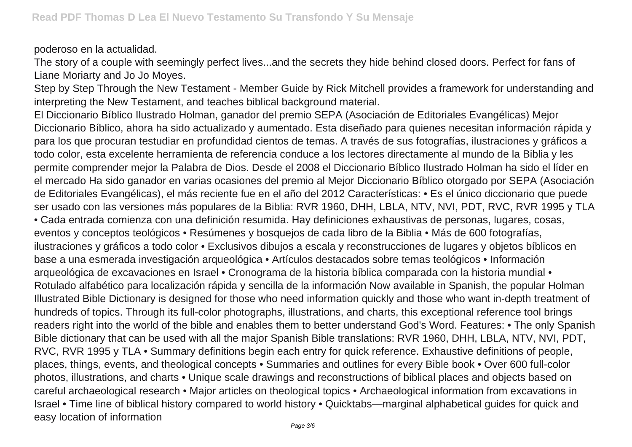poderoso en la actualidad.

The story of a couple with seemingly perfect lives...and the secrets they hide behind closed doors. Perfect for fans of Liane Moriarty and Jo Jo Moyes.

Step by Step Through the New Testament - Member Guide by Rick Mitchell provides a framework for understanding and interpreting the New Testament, and teaches biblical background material.

El Diccionario Bíblico Ilustrado Holman, ganador del premio SEPA (Asociación de Editoriales Evangélicas) Mejor Diccionario Bíblico, ahora ha sido actualizado y aumentado. Esta diseñado para quienes necesitan información rápida y para los que procuran testudiar en profundidad cientos de temas. A través de sus fotografías, ilustraciones y gráficos a todo color, esta excelente herramienta de referencia conduce a los lectores directamente al mundo de la Biblia y les permite comprender mejor la Palabra de Dios. Desde el 2008 el Diccionario Bíblico Ilustrado Holman ha sido el líder en el mercado Ha sido ganador en varias ocasiones del premio al Mejor Diccionario Bíblico otorgado por SEPA (Asociación de Editoriales Evangélicas), el más reciente fue en el año del 2012 Características: • Es el único diccionario que puede ser usado con las versiones más populares de la Biblia: RVR 1960, DHH, LBLA, NTV, NVI, PDT, RVC, RVR 1995 y TLA • Cada entrada comienza con una definición resumida. Hay definiciones exhaustivas de personas, lugares, cosas, eventos y conceptos teológicos • Resúmenes y bosquejos de cada libro de la Biblia • Más de 600 fotografías, ilustraciones y gráficos a todo color • Exclusivos dibujos a escala y reconstrucciones de lugares y objetos bíblicos en base a una esmerada investigación arqueológica • Artículos destacados sobre temas teológicos • Información arqueológica de excavaciones en Israel • Cronograma de la historia bíblica comparada con la historia mundial • Rotulado alfabético para localización rápida y sencilla de la información Now available in Spanish, the popular Holman Illustrated Bible Dictionary is designed for those who need information quickly and those who want in-depth treatment of hundreds of topics. Through its full-color photographs, illustrations, and charts, this exceptional reference tool brings readers right into the world of the bible and enables them to better understand God's Word. Features: • The only Spanish Bible dictionary that can be used with all the major Spanish Bible translations: RVR 1960, DHH, LBLA, NTV, NVI, PDT, RVC, RVR 1995 y TLA • Summary definitions begin each entry for quick reference. Exhaustive definitions of people, places, things, events, and theological concepts • Summaries and outlines for every Bible book • Over 600 full-color photos, illustrations, and charts • Unique scale drawings and reconstructions of biblical places and objects based on careful archaeological research • Major articles on theological topics • Archaeological information from excavations in Israel • Time line of biblical history compared to world history • Quicktabs—marginal alphabetical guides for quick and easy location of information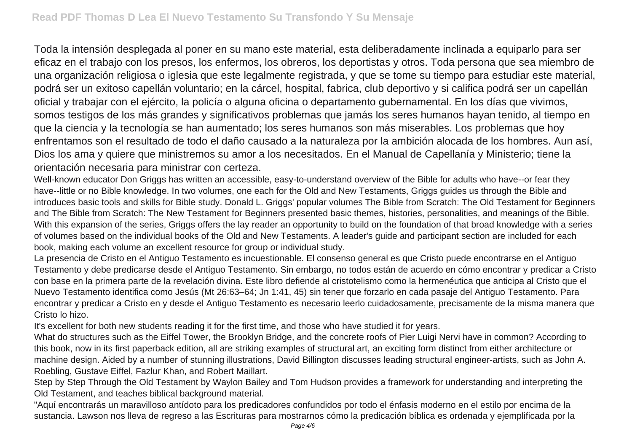Toda la intensión desplegada al poner en su mano este material, esta deliberadamente inclinada a equiparlo para ser eficaz en el trabajo con los presos, los enfermos, los obreros, los deportistas y otros. Toda persona que sea miembro de una organización religiosa o iglesia que este legalmente registrada, y que se tome su tiempo para estudiar este material, podrá ser un exitoso capellán voluntario; en la cárcel, hospital, fabrica, club deportivo y si califica podrá ser un capellán oficial y trabajar con el ejército, la policía o alguna oficina o departamento gubernamental. En los días que vivimos, somos testigos de los más grandes y significativos problemas que jamás los seres humanos hayan tenido, al tiempo en que la ciencia y la tecnología se han aumentado; los seres humanos son más miserables. Los problemas que hoy enfrentamos son el resultado de todo el daño causado a la naturaleza por la ambición alocada de los hombres. Aun así, Dios los ama y quiere que ministremos su amor a los necesitados. En el Manual de Capellanía y Ministerio; tiene la orientación necesaria para ministrar con certeza.

Well-known educator Don Griggs has written an accessible, easy-to-understand overview of the Bible for adults who have--or fear they have--little or no Bible knowledge. In two volumes, one each for the Old and New Testaments, Griggs guides us through the Bible and introduces basic tools and skills for Bible study. Donald L. Griggs' popular volumes The Bible from Scratch: The Old Testament for Beginners and The Bible from Scratch: The New Testament for Beginners presented basic themes, histories, personalities, and meanings of the Bible. With this expansion of the series, Griggs offers the lay reader an opportunity to build on the foundation of that broad knowledge with a series of volumes based on the individual books of the Old and New Testaments. A leader's guide and participant section are included for each book, making each volume an excellent resource for group or individual study.

La presencia de Cristo en el Antiguo Testamento es incuestionable. El consenso general es que Cristo puede encontrarse en el Antiguo Testamento y debe predicarse desde el Antiguo Testamento. Sin embargo, no todos están de acuerdo en cómo encontrar y predicar a Cristo con base en la primera parte de la revelación divina. Este libro defiende al cristotelismo como la hermenéutica que anticipa al Cristo que el Nuevo Testamento identifica como Jesús (Mt 26:63–64; Jn 1:41, 45) sin tener que forzarlo en cada pasaje del Antiguo Testamento. Para encontrar y predicar a Cristo en y desde el Antiguo Testamento es necesario leerlo cuidadosamente, precisamente de la misma manera que Cristo lo hizo.

It's excellent for both new students reading it for the first time, and those who have studied it for years.

What do structures such as the Eiffel Tower, the Brooklyn Bridge, and the concrete roofs of Pier Luigi Nervi have in common? According to this book, now in its first paperback edition, all are striking examples of structural art, an exciting form distinct from either architecture or machine design. Aided by a number of stunning illustrations, David Billington discusses leading structural engineer-artists, such as John A. Roebling, Gustave Eiffel, Fazlur Khan, and Robert Maillart.

Step by Step Through the Old Testament by Waylon Bailey and Tom Hudson provides a framework for understanding and interpreting the Old Testament, and teaches biblical background material.

"Aquí encontrarás un maravilloso antídoto para los predicadores confundidos por todo el énfasis moderno en el estilo por encima de la sustancia. Lawson nos lleva de regreso a las Escrituras para mostrarnos cómo la predicación bíblica es ordenada y ejemplificada por la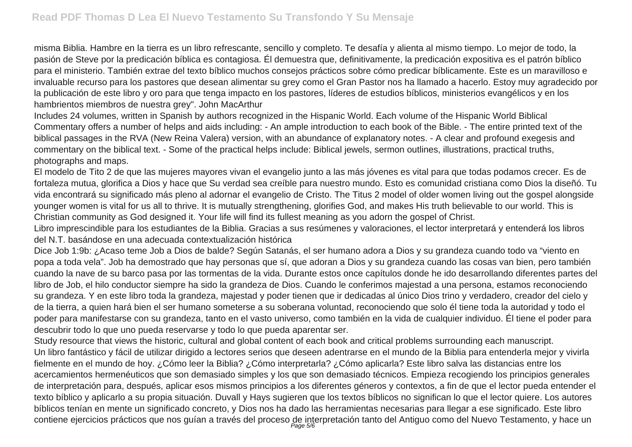misma Biblia. Hambre en la tierra es un libro refrescante, sencillo y completo. Te desafía y alienta al mismo tiempo. Lo mejor de todo, la pasión de Steve por la predicación bíblica es contagiosa. Él demuestra que, definitivamente, la predicación expositiva es el patrón bíblico para el ministerio. También extrae del texto bíblico muchos consejos prácticos sobre cómo predicar bíblicamente. Este es un maravilloso e invaluable recurso para los pastores que desean alimentar su grey como el Gran Pastor nos ha llamado a hacerlo. Estoy muy agradecido por la publicación de este libro y oro para que tenga impacto en los pastores, líderes de estudios bíblicos, ministerios evangélicos y en los hambrientos miembros de nuestra grey". John MacArthur

Includes 24 volumes, written in Spanish by authors recognized in the Hispanic World. Each volume of the Hispanic World Biblical Commentary offers a number of helps and aids including: - An ample introduction to each book of the Bible. - The entire printed text of the biblical passages in the RVA (New Reina Valera) version, with an abundance of explanatory notes. - A clear and profound exegesis and commentary on the biblical text. - Some of the practical helps include: Biblical jewels, sermon outlines, illustrations, practical truths, photographs and maps.

El modelo de Tito 2 de que las mujeres mayores vivan el evangelio junto a las más jóvenes es vital para que todas podamos crecer. Es de fortaleza mutua, glorifica a Dios y hace que Su verdad sea creíble para nuestro mundo. Esto es comunidad cristiana como Dios la diseñó. Tu vida encontrará su significado más pleno al adornar el evangelio de Cristo. The Titus 2 model of older women living out the gospel alongside younger women is vital for us all to thrive. It is mutually strengthening, glorifies God, and makes His truth believable to our world. This is Christian community as God designed it. Your life will find its fullest meaning as you adorn the gospel of Christ.

Libro imprescindible para los estudiantes de la Biblia. Gracias a sus resúmenes y valoraciones, el lector interpretará y entenderá los libros del N.T. basándose en una adecuada contextualización histórica

Dice Job 1:9b: ¿Acaso teme Job a Dios de balde? Según Satanás, el ser humano adora a Dios y su grandeza cuando todo va "viento en popa a toda vela". Job ha demostrado que hay personas que sí, que adoran a Dios y su grandeza cuando las cosas van bien, pero también cuando la nave de su barco pasa por las tormentas de la vida. Durante estos once capítulos donde he ido desarrollando diferentes partes del libro de Job, el hilo conductor siempre ha sido la grandeza de Dios. Cuando le conferimos majestad a una persona, estamos reconociendo su grandeza. Y en este libro toda la grandeza, majestad y poder tienen que ir dedicadas al único Dios trino y verdadero, creador del cielo y de la tierra, a quien hará bien el ser humano someterse a su soberana voluntad, reconociendo que solo él tiene toda la autoridad y todo el poder para manifestarse con su grandeza, tanto en el vasto universo, como también en la vida de cualquier individuo. Él tiene el poder para descubrir todo lo que uno pueda reservarse y todo lo que pueda aparentar ser.

Study resource that views the historic, cultural and global content of each book and critical problems surrounding each manuscript. Un libro fantástico y fácil de utilizar dirigido a lectores serios que deseen adentrarse en el mundo de la Biblia para entenderla mejor y vivirla fielmente en el mundo de hoy. ¿Cómo leer la Biblia? ¿Cómo interpretarla? ¿Cómo aplicarla? Este libro salva las distancias entre los acercamientos hermenéuticos que son demasiado simples y los que son demasiado técnicos. Empieza recogiendo los principios generales de interpretación para, después, aplicar esos mismos principios a los diferentes géneros y contextos, a fin de que el lector pueda entender el texto bíblico y aplicarlo a su propia situación. Duvall y Hays sugieren que los textos bíblicos no significan lo que el lector quiere. Los autores bíblicos tenían en mente un significado concreto, y Dios nos ha dado las herramientas necesarias para llegar a ese significado. Este libro contiene ejercicios prácticos que nos guían a través del proceso de interpretación tanto del Antiguo como del Nuevo Testamento, y hace un